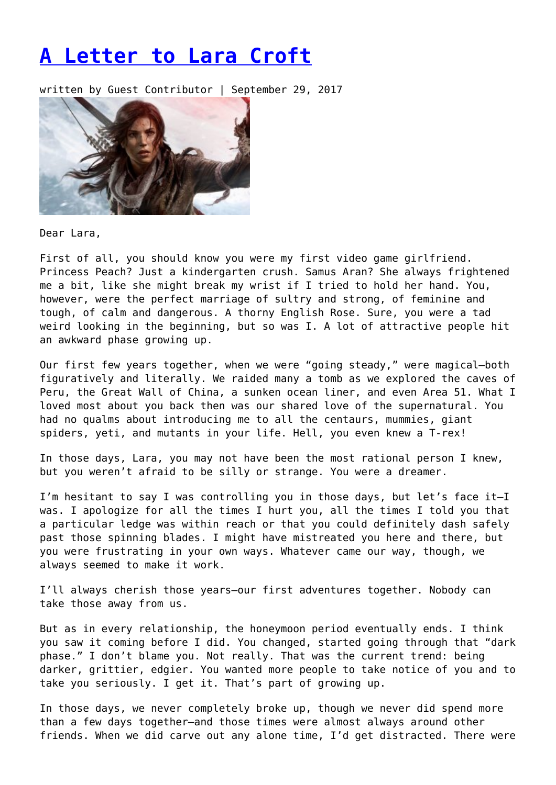## **[A Letter to Lara Croft](https://entropymag.org/a-letter-to-lara-croft/)**

written by Guest Contributor | September 29, 2017



Dear Lara,

First of all, you should know you were my first video game girlfriend. Princess Peach? Just a kindergarten crush. Samus Aran? She always frightened me a bit, like she might break my wrist if I tried to hold her hand. You, however, were the perfect marriage of sultry and strong, of feminine and tough, of calm and dangerous. A thorny English Rose. Sure, you were a tad weird looking in the beginning, but so was I. A lot of attractive people hit an awkward phase growing up.

Our first few years together, when we were "going steady," were magical—both figuratively and literally. We raided many a tomb as we explored the caves of Peru, the Great Wall of China, a sunken ocean liner, and even Area 51. What I loved most about you back then was our shared love of the supernatural. You had no qualms about introducing me to all the centaurs, mummies, giant spiders, yeti, and mutants in your life. Hell, you even knew a T-rex!

In those days, Lara, you may not have been the most rational person I knew, but you weren't afraid to be silly or strange. You were a dreamer.

I'm hesitant to say I was controlling you in those days, but let's face it—I was. I apologize for all the times I hurt you, all the times I told you that a particular ledge was within reach or that you could definitely dash safely past those spinning blades. I might have mistreated you here and there, but you were frustrating in your own ways. Whatever came our way, though, we always seemed to make it work.

I'll always cherish those years—our first adventures together. Nobody can take those away from us.

But as in every relationship, the honeymoon period eventually ends. I think you saw it coming before I did. You changed, started going through that "dark phase." I don't blame you. Not really. That was the current trend: being darker, grittier, edgier. You wanted more people to take notice of you and to take you seriously. I get it. That's part of growing up.

In those days, we never completely broke up, though we never did spend more than a few days together—and those times were almost always around other friends. When we did carve out any alone time, I'd get distracted. There were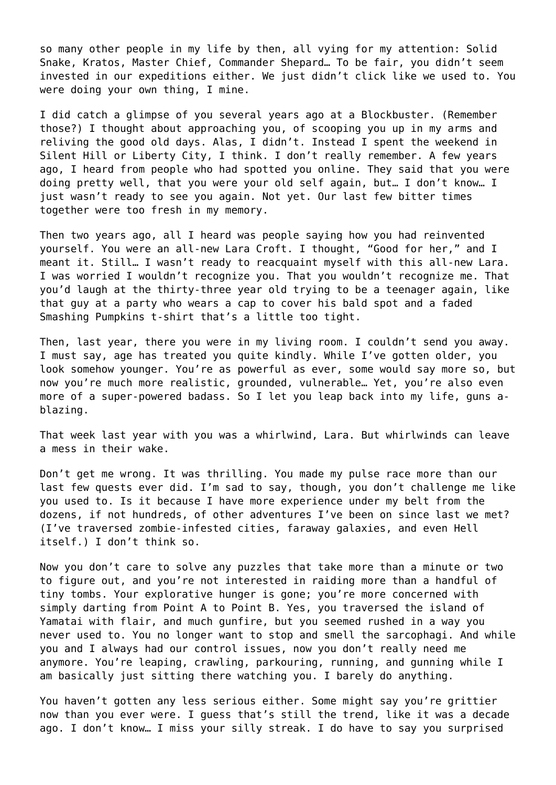so many other people in my life by then, all vying for my attention: Solid Snake, Kratos, Master Chief, Commander Shepard… To be fair, you didn't seem invested in our expeditions either. We just didn't click like we used to. You were doing your own thing, I mine.

I did catch a glimpse of you several years ago at a Blockbuster. (Remember those?) I thought about approaching you, of scooping you up in my arms and reliving the good old days. Alas, I didn't. Instead I spent the weekend in Silent Hill or Liberty City, I think. I don't really remember. A few years ago, I heard from people who had spotted you online. They said that you were doing pretty well, that you were your old self again, but… I don't know… I just wasn't ready to see you again. Not yet. Our last few bitter times together were too fresh in my memory.

Then two years ago, all I heard was people saying how you had reinvented yourself. You were an all-new Lara Croft. I thought, "Good for her," and I meant it. Still… I wasn't ready to reacquaint myself with this all-new Lara. I was worried I wouldn't recognize you. That you wouldn't recognize me. That you'd laugh at the thirty-three year old trying to be a teenager again, like that guy at a party who wears a cap to cover his bald spot and a faded Smashing Pumpkins t-shirt that's a little too tight.

Then, last year, there you were in my living room. I couldn't send you away. I must say, age has treated you quite kindly. While I've gotten older, you look somehow younger. You're as powerful as ever, some would say more so, but now you're much more realistic, grounded, vulnerable… Yet, you're also even more of a super-powered badass. So I let you leap back into my life, guns ablazing.

That week last year with you was a whirlwind, Lara. But whirlwinds can leave a mess in their wake.

Don't get me wrong. It was thrilling. You made my pulse race more than our last few quests ever did. I'm sad to say, though, you don't challenge me like you used to. Is it because I have more experience under my belt from the dozens, if not hundreds, of other adventures I've been on since last we met? (I've traversed zombie-infested cities, faraway galaxies, and even Hell itself.) I don't think so.

Now you don't care to solve any puzzles that take more than a minute or two to figure out, and you're not interested in raiding more than a handful of tiny tombs. Your explorative hunger is gone; you're more concerned with simply darting from Point A to Point B. Yes, you traversed the island of Yamatai with flair, and much gunfire, but you seemed rushed in a way you never used to. You no longer want to stop and smell the sarcophagi. And while you and I always had our control issues, now you don't really need me anymore. You're leaping, crawling, parkouring, running, and gunning while I am basically just sitting there watching you. I barely do anything.

You haven't gotten any less serious either. Some might say you're grittier now than you ever were. I guess that's still the trend, like it was a decade ago. I don't know… I miss your silly streak. I do have to say you surprised